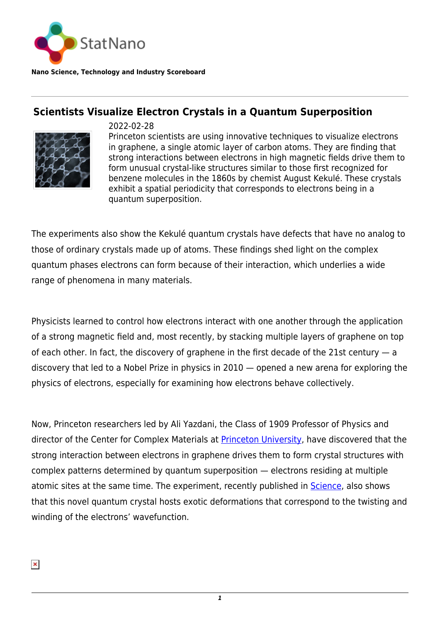

**Nano Science, Technology and Industry Scoreboard**

## **Scientists Visualize Electron Crystals in a Quantum Superposition**



2022-02-28

Princeton scientists are using innovative techniques to visualize electrons in graphene, a single atomic layer of carbon atoms. They are finding that strong interactions between electrons in high magnetic fields drive them to form unusual crystal-like structures similar to those first recognized for benzene molecules in the 1860s by chemist August Kekulé. These crystals exhibit a spatial periodicity that corresponds to electrons being in a quantum superposition.

The experiments also show the Kekulé quantum crystals have defects that have no analog to those of ordinary crystals made up of atoms. These findings shed light on the complex quantum phases electrons can form because of their interaction, which underlies a wide range of phenomena in many materials.

Physicists learned to control how electrons interact with one another through the application of a strong magnetic field and, most recently, by stacking multiple layers of graphene on top of each other. In fact, the discovery of graphene in the first decade of the 21st century — a discovery that led to a Nobel Prize in physics in 2010 — opened a new arena for exploring the physics of electrons, especially for examining how electrons behave collectively.

Now, Princeton researchers led by Ali Yazdani, the Class of 1909 Professor of Physics and director of the Center for Complex Materials at **Princeton University**, have discovered that the strong interaction between electrons in graphene drives them to form crystal structures with complex patterns determined by quantum superposition — electrons residing at multiple atomic sites at the same time. The experiment, recently published in [Science](https://www.science.org/doi/10.1126/science.abm3770), also shows that this novel quantum crystal hosts exotic deformations that correspond to the twisting and winding of the electrons' wavefunction.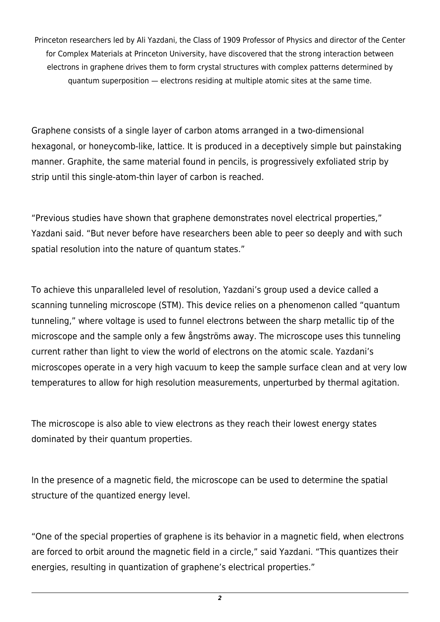Princeton researchers led by Ali Yazdani, the Class of 1909 Professor of Physics and director of the Center for Complex Materials at Princeton University, have discovered that the strong interaction between electrons in graphene drives them to form crystal structures with complex patterns determined by quantum superposition — electrons residing at multiple atomic sites at the same time.

Graphene consists of a single layer of carbon atoms arranged in a two-dimensional hexagonal, or honeycomb-like, lattice. It is produced in a deceptively simple but painstaking manner. Graphite, the same material found in pencils, is progressively exfoliated strip by strip until this single-atom-thin layer of carbon is reached.

"Previous studies have shown that graphene demonstrates novel electrical properties," Yazdani said. "But never before have researchers been able to peer so deeply and with such spatial resolution into the nature of quantum states."

To achieve this unparalleled level of resolution, Yazdani's group used a device called a scanning tunneling microscope (STM). This device relies on a phenomenon called "quantum tunneling," where voltage is used to funnel electrons between the sharp metallic tip of the microscope and the sample only a few ångströms away. The microscope uses this tunneling current rather than light to view the world of electrons on the atomic scale. Yazdani's microscopes operate in a very high vacuum to keep the sample surface clean and at very low temperatures to allow for high resolution measurements, unperturbed by thermal agitation.

The microscope is also able to view electrons as they reach their lowest energy states dominated by their quantum properties.

In the presence of a magnetic field, the microscope can be used to determine the spatial structure of the quantized energy level.

"One of the special properties of graphene is its behavior in a magnetic field, when electrons are forced to orbit around the magnetic field in a circle," said Yazdani. "This quantizes their energies, resulting in quantization of graphene's electrical properties."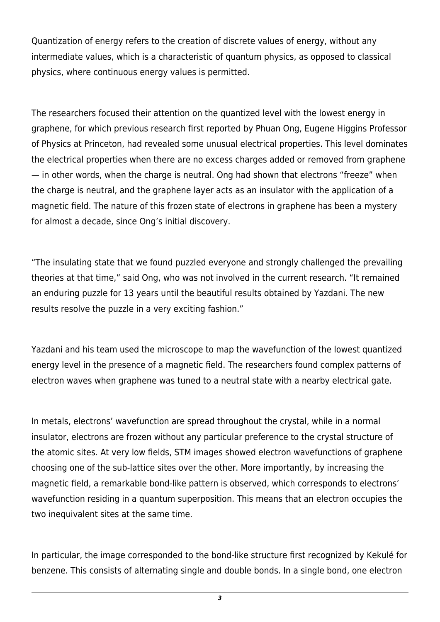Quantization of energy refers to the creation of discrete values of energy, without any intermediate values, which is a characteristic of quantum physics, as opposed to classical physics, where continuous energy values is permitted.

The researchers focused their attention on the quantized level with the lowest energy in graphene, for which previous research first reported by Phuan Ong, Eugene Higgins Professor of Physics at Princeton, had revealed some unusual electrical properties. This level dominates the electrical properties when there are no excess charges added or removed from graphene — in other words, when the charge is neutral. Ong had shown that electrons "freeze" when the charge is neutral, and the graphene layer acts as an insulator with the application of a magnetic field. The nature of this frozen state of electrons in graphene has been a mystery for almost a decade, since Ong's initial discovery.

"The insulating state that we found puzzled everyone and strongly challenged the prevailing theories at that time," said Ong, who was not involved in the current research. "It remained an enduring puzzle for 13 years until the beautiful results obtained by Yazdani. The new results resolve the puzzle in a very exciting fashion."

Yazdani and his team used the microscope to map the wavefunction of the lowest quantized energy level in the presence of a magnetic field. The researchers found complex patterns of electron waves when graphene was tuned to a neutral state with a nearby electrical gate.

In metals, electrons' wavefunction are spread throughout the crystal, while in a normal insulator, electrons are frozen without any particular preference to the crystal structure of the atomic sites. At very low fields, STM images showed electron wavefunctions of graphene choosing one of the sub-lattice sites over the other. More importantly, by increasing the magnetic field, a remarkable bond-like pattern is observed, which corresponds to electrons' wavefunction residing in a quantum superposition. This means that an electron occupies the two inequivalent sites at the same time.

In particular, the image corresponded to the bond-like structure first recognized by Kekulé for benzene. This consists of alternating single and double bonds. In a single bond, one electron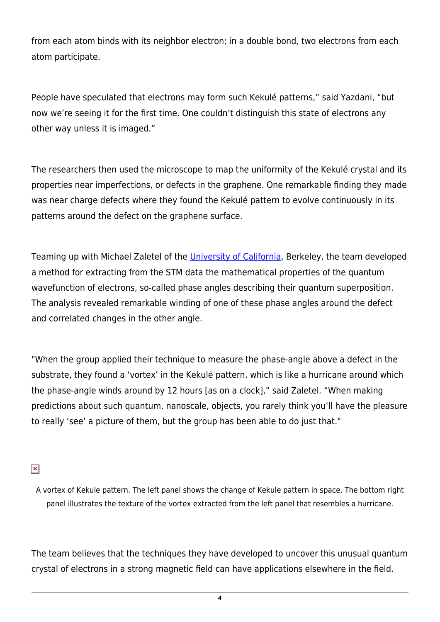from each atom binds with its neighbor electron; in a double bond, two electrons from each atom participate.

People have speculated that electrons may form such Kekulé patterns," said Yazdani, "but now we're seeing it for the first time. One couldn't distinguish this state of electrons any other way unless it is imaged."

The researchers then used the microscope to map the uniformity of the Kekulé crystal and its properties near imperfections, or defects in the graphene. One remarkable finding they made was near charge defects where they found the Kekulé pattern to evolve continuously in its patterns around the defect on the graphene surface.

Teaming up with Michael Zaletel of the [University of California](https://statnano.com/org/University-of-California-Berkeley), Berkeley, the team developed a method for extracting from the STM data the mathematical properties of the quantum wavefunction of electrons, so-called phase angles describing their quantum superposition. The analysis revealed remarkable winding of one of these phase angles around the defect and correlated changes in the other angle.

"When the group applied their technique to measure the phase-angle above a defect in the substrate, they found a 'vortex' in the Kekulé pattern, which is like a hurricane around which the phase-angle winds around by 12 hours [as on a clock]," said Zaletel. "When making predictions about such quantum, nanoscale, objects, you rarely think you'll have the pleasure to really 'see' a picture of them, but the group has been able to do just that."

 $\pmb{\times}$ 

A vortex of Kekule pattern. The left panel shows the change of Kekule pattern in space. The bottom right panel illustrates the texture of the vortex extracted from the left panel that resembles a hurricane.

The team believes that the techniques they have developed to uncover this unusual quantum crystal of electrons in a strong magnetic field can have applications elsewhere in the field.